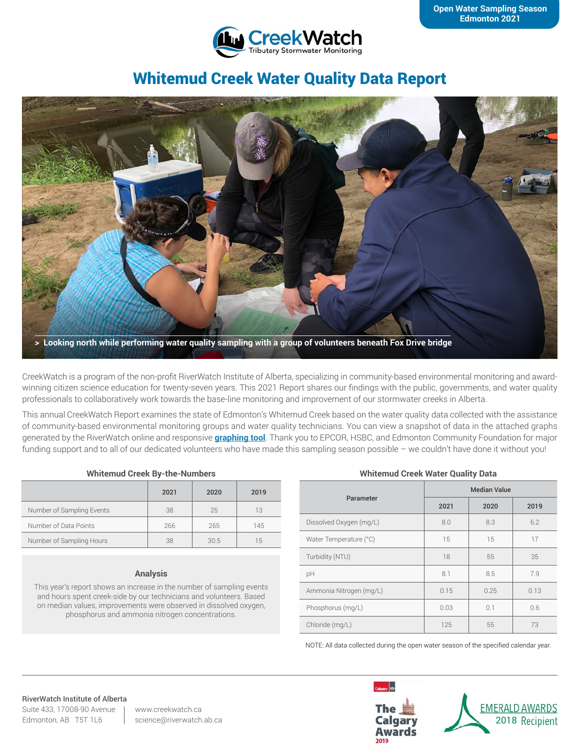

# Whitemud Creek Water Quality Data Report



CreekWatch is a program of the non-profit RiverWatch Institute of Alberta, specializing in community-based environmental monitoring and awardwinning citizen science education for twenty-seven years. This 2021 Report shares our findings with the public, governments, and water quality professionals to collaboratively work towards the base-line monitoring and improvement of our stormwater creeks in Alberta.

This annual CreekWatch Report examines the state of Edmonton's Whitemud Creek based on the water quality data collected with the assistance of community-based environmental monitoring groups and water quality technicians. You can view a snapshot of data in the attached graphs generated by the RiverWatch online and responsive **[graphing tool](http://www.riverwatch.ab.ca/index.php/science/data)**. Thank you to EPCOR, HSBC, and Edmonton Community Foundation for major funding support and to all of our dedicated volunteers who have made this sampling season possible – we couldn't have done it without you!

#### **Whitemud Creek By-the-Numbers**

|                           | 2021 | 2020 | 2019 |
|---------------------------|------|------|------|
| Number of Sampling Events | 38   | 25   | 13   |
| Number of Data Points     | 266  | 265  | 145  |
| Number of Sampling Hours  | 38   | 30.5 | 15   |

#### **Analysis**

This year's report shows an increase in the number of sampling events and hours spent creek-side by our technicians and volunteers. Based on median values, improvements were observed in dissolved oxygen, phosphorus and ammonia nitrogen concentrations.

#### **Whitemud Creek Water Quality Data**

| Parameter               | <b>Median Value</b> |      |      |  |
|-------------------------|---------------------|------|------|--|
|                         | 2021                | 2020 | 2019 |  |
| Dissolved Oxygen (mg/L) | 8.0                 | 8.3  | 6.2  |  |
| Water Temperature (°C)  | 15                  | 15   | 17   |  |
| Turbidity (NTU)         | 18                  | 55   | 35   |  |
| pH                      | 8.1                 | 8.5  | 7.9  |  |
| Ammonia Nitrogen (mg/L) | 0.15                | 0.25 | 0.13 |  |
| Phosphorus (mg/L)       | 0.03                | 0.1  | 0.6  |  |
| Chloride (mg/L)         | 125                 | 55   | 73   |  |

NOTE: All data collected during the open water season of the specified calendar year.

## RiverWatch Institute of Alberta

Suite 433, 17008-90 Avenue Edmonton, AB T5T 1L6

www.creekwatch.ca science@riverwatch.ab.ca